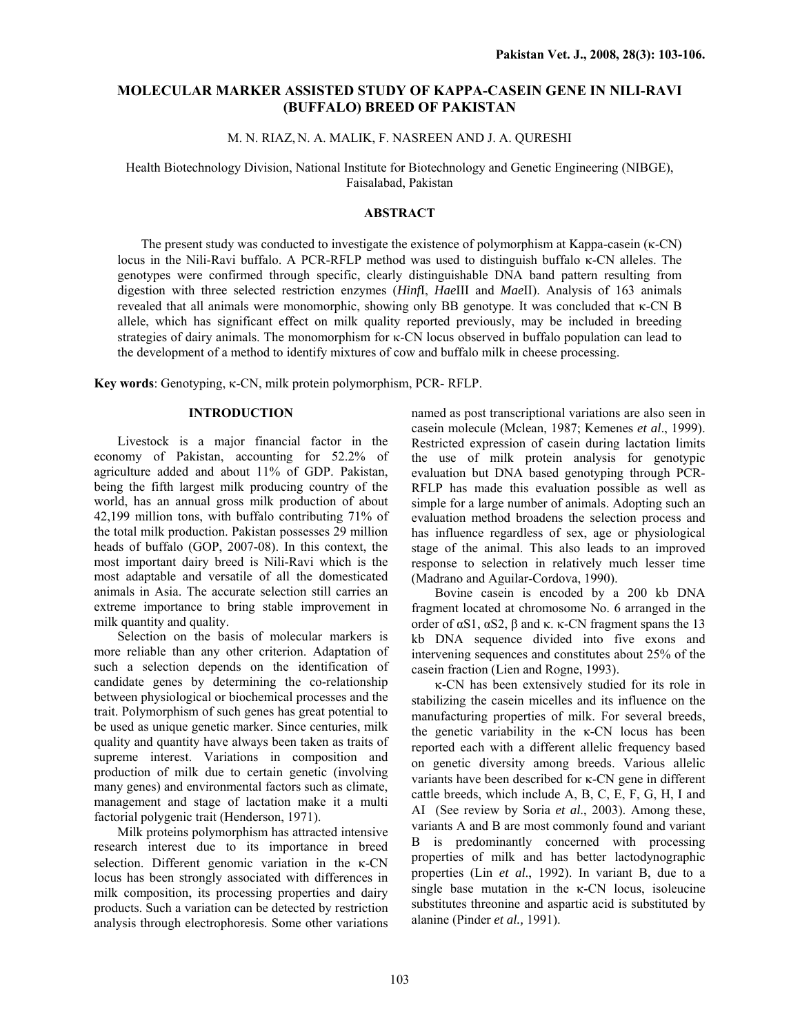# **MOLECULAR MARKER ASSISTED STUDY OF KAPPA-CASEIN GENE IN NILI-RAVI (BUFFALO) BREED OF PAKISTAN**

M. N. RIAZ, N. A. MALIK, F. NASREEN AND J. A. QURESHI

Health Biotechnology Division, National Institute for Biotechnology and Genetic Engineering (NIBGE), Faisalabad, Pakistan

## **ABSTRACT**

The present study was conducted to investigate the existence of polymorphism at Kappa-casein (κ-CN) locus in the Nili-Ravi buffalo. A PCR-RFLP method was used to distinguish buffalo κ-CN alleles. The genotypes were confirmed through specific, clearly distinguishable DNA band pattern resulting from digestion with three selected restriction enzymes (*Hinf*I, *Hae*III and *Mae*II). Analysis of 163 animals revealed that all animals were monomorphic, showing only BB genotype. It was concluded that κ-CN B allele, which has significant effect on milk quality reported previously, may be included in breeding strategies of dairy animals. The monomorphism for κ-CN locus observed in buffalo population can lead to the development of a method to identify mixtures of cow and buffalo milk in cheese processing.

**Key words**: Genotyping, κ-CN, milk protein polymorphism, PCR- RFLP.

# **INTRODUCTION**

 Livestock is a major financial factor in the economy of Pakistan, accounting for 52.2% of agriculture added and about 11% of GDP. Pakistan, being the fifth largest milk producing country of the world, has an annual gross milk production of about 42,199 million tons, with buffalo contributing 71% of the total milk production. Pakistan possesses 29 million heads of buffalo (GOP, 2007-08). In this context, the most important dairy breed is Nili-Ravi which is the most adaptable and versatile of all the domesticated animals in Asia. The accurate selection still carries an extreme importance to bring stable improvement in milk quantity and quality.

Selection on the basis of molecular markers is more reliable than any other criterion. Adaptation of such a selection depends on the identification of candidate genes by determining the co-relationship between physiological or biochemical processes and the trait. Polymorphism of such genes has great potential to be used as unique genetic marker. Since centuries, milk quality and quantity have always been taken as traits of supreme interest. Variations in composition and production of milk due to certain genetic (involving many genes) and environmental factors such as climate, management and stage of lactation make it a multi factorial polygenic trait (Henderson, 1971).

Milk proteins polymorphism has attracted intensive research interest due to its importance in breed selection. Different genomic variation in the κ-CN locus has been strongly associated with differences in milk composition, its processing properties and dairy products. Such a variation can be detected by restriction analysis through electrophoresis. Some other variations

named as post transcriptional variations are also seen in casein molecule (Mclean, 1987; Kemenes *et al*., 1999). Restricted expression of casein during lactation limits the use of milk protein analysis for genotypic evaluation but DNA based genotyping through PCR-RFLP has made this evaluation possible as well as simple for a large number of animals. Adopting such an evaluation method broadens the selection process and has influence regardless of sex, age or physiological stage of the animal. This also leads to an improved response to selection in relatively much lesser time (Madrano and Aguilar-Cordova, 1990).

Bovine casein is encoded by a 200 kb DNA fragment located at chromosome No. 6 arranged in the order of  $\alpha$ S1,  $\alpha$ S2,  $\beta$  and κ. κ-CN fragment spans the 13 kb DNA sequence divided into five exons and intervening sequences and constitutes about 25% of the casein fraction (Lien and Rogne, 1993).

κ-CN has been extensively studied for its role in stabilizing the casein micelles and its influence on the manufacturing properties of milk. For several breeds, the genetic variability in the κ-CN locus has been reported each with a different allelic frequency based on genetic diversity among breeds. Various allelic variants have been described for κ-CN gene in different cattle breeds, which include A, B, C, E, F, G, H, I and AI (See review by Soria *et al*., 2003). Among these, variants A and B are most commonly found and variant B is predominantly concerned with processing properties of milk and has better lactodynographic properties (Lin *et al*., 1992). In variant B, due to a single base mutation in the  $\kappa$ -CN locus, isoleucine substitutes threonine and aspartic acid is substituted by alanine (Pinder *et al.,* 1991).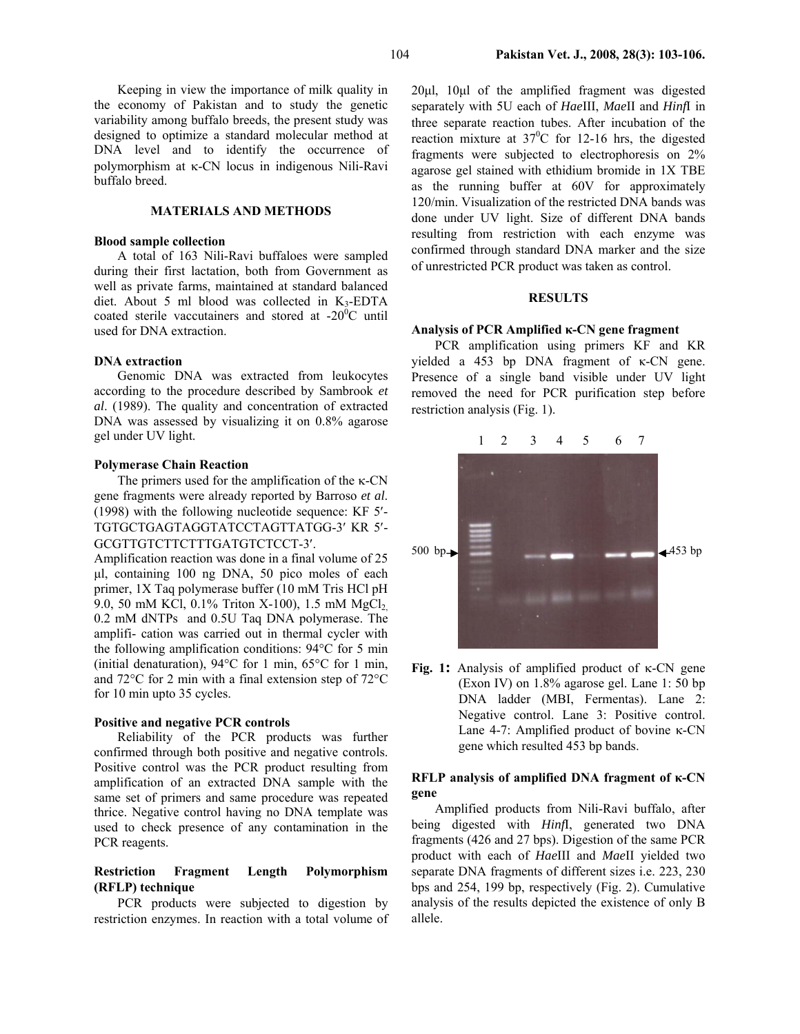Keeping in view the importance of milk quality in the economy of Pakistan and to study the genetic variability among buffalo breeds, the present study was designed to optimize a standard molecular method at DNA level and to identify the occurrence of polymorphism at κ-CN locus in indigenous Nili-Ravi buffalo breed.

## **MATERIALS AND METHODS**

### **Blood sample collection**

A total of 163 Nili-Ravi buffaloes were sampled during their first lactation, both from Government as well as private farms, maintained at standard balanced diet. About 5 ml blood was collected in  $K_3$ -EDTA coated sterile vaccutainers and stored at  $-20^{\circ}$ C until used for DNA extraction.

#### **DNA extraction**

 Genomic DNA was extracted from leukocytes according to the procedure described by Sambrook *et al*. (1989). The quality and concentration of extracted DNA was assessed by visualizing it on 0.8% agarose gel under UV light.

### **Polymerase Chain Reaction**

The primers used for the amplification of the κ-CN gene fragments were already reported by Barroso *et al*. (1998) with the following nucleotide sequence: KF 5′- TGTGCTGAGTAGGTATCCTAGTTATGG-3′ KR 5′- GCGTTGTCTTCTTTGATGTCTCCT-3′.

Amplification reaction was done in a final volume of 25 µl, containing 100 ng DNA, 50 pico moles of each primer, 1X Taq polymerase buffer (10 mM Tris HCl pH 9.0, 50 mM KCl, 0.1% Triton X-100), 1.5 mM MgCl<sub>2</sub> 0.2 mM dNTPs and 0.5U Taq DNA polymerase. The amplifi- cation was carried out in thermal cycler with the following amplification conditions: 94°C for 5 min (initial denaturation), 94°C for 1 min, 65°C for 1 min, and 72°C for 2 min with a final extension step of 72°C for 10 min upto 35 cycles.

### **Positive and negative PCR controls**

Reliability of the PCR products was further confirmed through both positive and negative controls. Positive control was the PCR product resulting from amplification of an extracted DNA sample with the same set of primers and same procedure was repeated thrice. Negative control having no DNA template was used to check presence of any contamination in the PCR reagents.

# **Restriction Fragment Length Polymorphism (RFLP) technique**

PCR products were subjected to digestion by restriction enzymes. In reaction with a total volume of 20µl, 10µl of the amplified fragment was digested separately with 5U each of *Hae*III, *Mae*II and *Hinf*I in three separate reaction tubes. After incubation of the reaction mixture at  $37^{\circ}$ C for 12-16 hrs, the digested fragments were subjected to electrophoresis on 2% agarose gel stained with ethidium bromide in 1X TBE as the running buffer at 60V for approximately 120/min. Visualization of the restricted DNA bands was done under UV light. Size of different DNA bands resulting from restriction with each enzyme was confirmed through standard DNA marker and the size of unrestricted PCR product was taken as control.

## **RESULTS**

#### **Analysis of PCR Amplified κ-CN gene fragment**

PCR amplification using primers KF and KR yielded a 453 bp DNA fragment of κ-CN gene. Presence of a single band visible under UV light removed the need for PCR purification step before restriction analysis (Fig. 1).



**Fig. 1:** Analysis of amplified product of κ-CN gene (Exon IV) on 1.8% agarose gel. Lane 1: 50 bp DNA ladder (MBI, Fermentas). Lane 2: Negative control. Lane 3: Positive control. Lane 4-7: Amplified product of bovine κ-CN gene which resulted 453 bp bands.

# **RFLP analysis of amplified DNA fragment of κ-CN gene**

Amplified products from Nili-Ravi buffalo, after being digested with *Hinf*I, generated two DNA fragments (426 and 27 bps). Digestion of the same PCR product with each of *Hae*III and *Mae*II yielded two separate DNA fragments of different sizes i.e. 223, 230 bps and 254, 199 bp, respectively (Fig. 2). Cumulative analysis of the results depicted the existence of only B allele.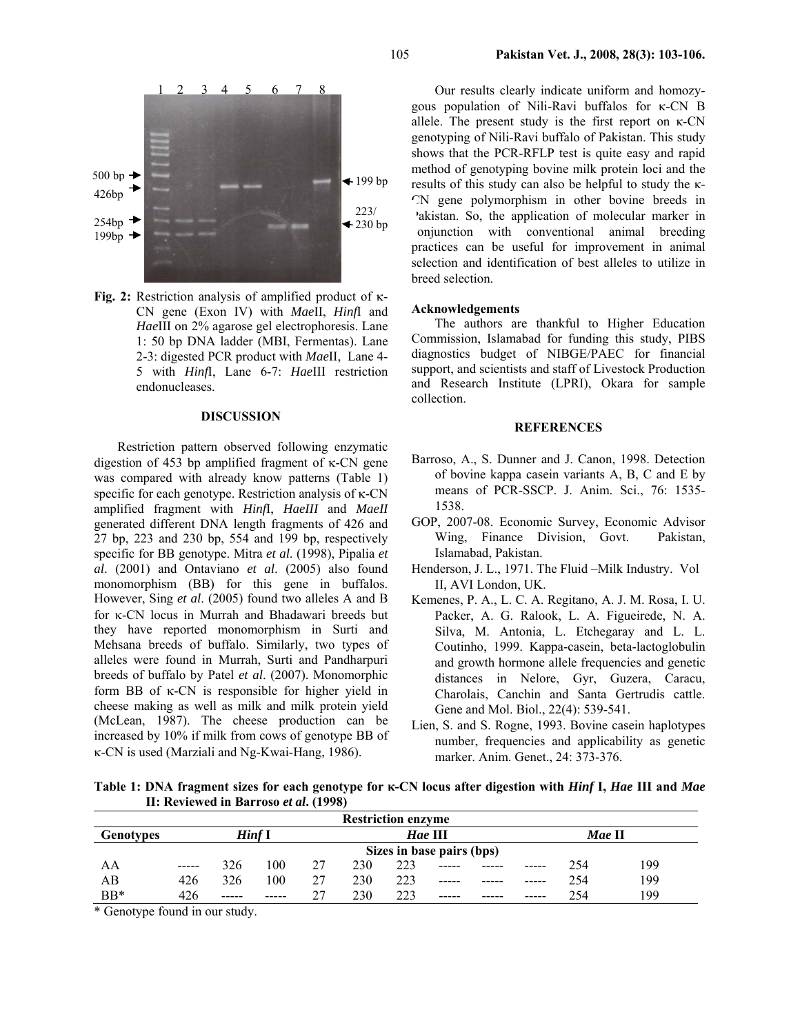

**Fig. 2:** Restriction analysis of amplified product of κ-CN gene (Exon IV) with *Mae*II, *Hinf*I and *Hae*III on 2% agarose gel electrophoresis. Lane 1: 50 bp DNA ladder (MBI, Fermentas). Lane 2-3: digested PCR product with *Mae*II, Lane 4- 5 with *Hinf*I, Lane 6-7: *Hae*III restriction endonucleases.

# **DISCUSSION**

Restriction pattern observed following enzymatic digestion of 453 bp amplified fragment of κ-CN gene was compared with already know patterns (Table 1) specific for each genotype. Restriction analysis of κ-CN amplified fragment with *Hinf*I, *HaeIII* and *MaeII* generated different DNA length fragments of 426 and 27 bp, 223 and 230 bp, 554 and 199 bp, respectively specific for BB genotype. Mitra *et al*. (1998), Pipalia *et al*. (2001) and Ontaviano *et al*. (2005) also found monomorphism (BB) for this gene in buffalos. However, Sing *et al*. (2005) found two alleles A and B for κ-CN locus in Murrah and Bhadawari breeds but they have reported monomorphism in Surti and Mehsana breeds of buffalo. Similarly, two types of alleles were found in Murrah, Surti and Pandharpuri breeds of buffalo by Patel *et al*. (2007). Monomorphic form BB of κ-CN is responsible for higher yield in cheese making as well as milk and milk protein yield (McLean, 1987). The cheese production can be increased by 10% if milk from cows of genotype BB of κ-CN is used (Marziali and Ng-Kwai-Hang, 1986).

Our results clearly indicate uniform and homozygous population of Nili-Ravi buffalos for κ-CN B allele. The present study is the first report on κ-CN genotyping of Nili-Ravi buffalo of Pakistan. This study shows that the PCR-RFLP test is quite easy and rapid method of genotyping bovine milk protein loci and the results of this study can also be helpful to study the κ-CN gene polymorphism in other bovine breeds in Pakistan. So, the application of molecular marker in conjunction with conventional animal breeding practices can be useful for improvement in animal selection and identification of best alleles to utilize in breed selection.

### **Acknowledgements**

The authors are thankful to Higher Education Commission, Islamabad for funding this study, PIBS diagnostics budget of NIBGE/PAEC for financial support, and scientists and staff of Livestock Production and Research Institute (LPRI), Okara for sample collection.

### **REFERENCES**

- Barroso, A., S. Dunner and J. Canon, 1998. Detection of bovine kappa casein variants A, B, C and E by means of PCR-SSCP. J. Anim. Sci., 76: 1535- 1538.
- GOP, 2007-08. Economic Survey, Economic Advisor Wing, Finance Division, Govt. Pakistan, Islamabad, Pakistan.
- Henderson, J. L., 1971. The Fluid –Milk Industry. Vol II, AVI London, UK.
- Kemenes, P. A., L. C. A. Regitano, A. J. M. Rosa, I. U. Packer, A. G. Ralook, L. A. Figueirede, N. A. Silva, M. Antonia, L. Etchegaray and L. L. Coutinho, 1999. Kappa-casein, beta-lactoglobulin and growth hormone allele frequencies and genetic distances in Nelore, Gyr, Guzera, Caracu, Charolais, Canchin and Santa Gertrudis cattle. Gene and Mol. Biol., 22(4): 539-541.
- Lien, S. and S. Rogne, 1993. Bovine casein haplotypes number, frequencies and applicability as genetic marker. Anim. Genet., 24: 373-376.

**Table 1: DNA fragment sizes for each genotype for κ-CN locus after digestion with** *Hinf* **I,** *Hae* **III and** *Mae* **II: Reviewed in Barroso** *et al***. (1998)** 

| <b>Restriction enzyme</b> |                           |       |       |    |         |     |       |  |        |     |     |
|---------------------------|---------------------------|-------|-------|----|---------|-----|-------|--|--------|-----|-----|
| <b>Genotypes</b>          | Hinf I                    |       |       |    | Hae III |     |       |  | Mae II |     |     |
|                           | Sizes in base pairs (bps) |       |       |    |         |     |       |  |        |     |     |
| AA                        | -----                     | 326   | 100   | 27 | 230     | 223 | ----- |  |        | 254 | 199 |
| AВ                        | 426                       | 326   | 100   | 27 | 230     | 223 | ----- |  | -----  | 254 | 199 |
| BB*                       | 426                       | ----- | ----- |    | 230     | 223 | ----- |  | -----  | 254 | 199 |

\* Genotype found in our study.